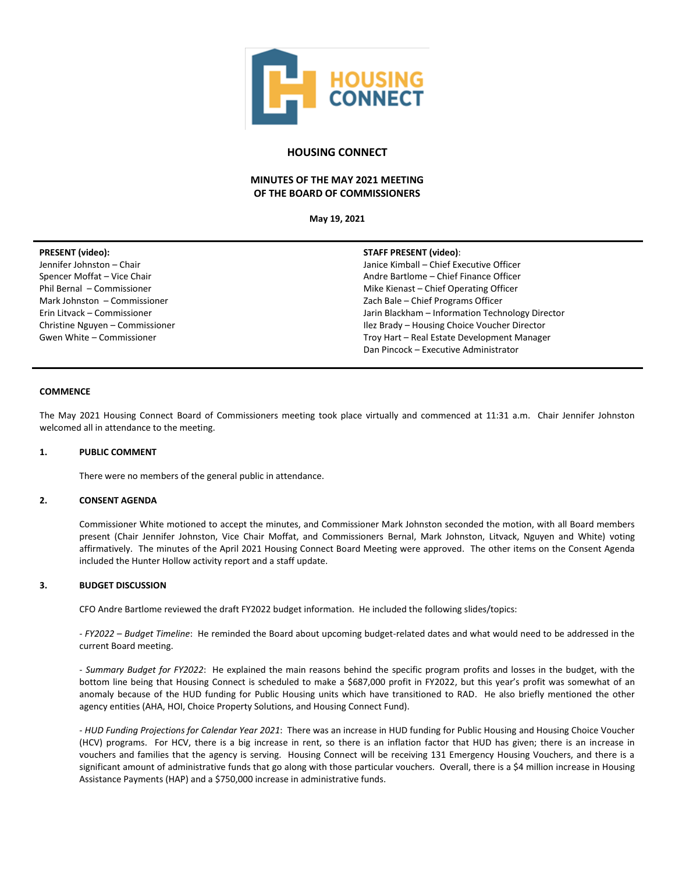

# **HOUSING CONNECT**

# **MINUTES OF THE MAY 2021 MEETING OF THE BOARD OF COMMISSIONERS**

**May 19, 2021**

| <b>PRESENT</b> (video):         | <b>STAFF PRESENT (video):</b>                    |
|---------------------------------|--------------------------------------------------|
| Jennifer Johnston - Chair       | Janice Kimball - Chief Executive Officer         |
| Spencer Moffat - Vice Chair     | Andre Bartlome – Chief Finance Officer           |
| Phil Bernal - Commissioner      | Mike Kienast – Chief Operating Officer           |
| Mark Johnston - Commissioner    | Zach Bale - Chief Programs Officer               |
| Erin Litvack - Commissioner     | Jarin Blackham - Information Technology Director |
| Christine Nguyen - Commissioner | Ilez Brady - Housing Choice Voucher Director     |
| Gwen White - Commissioner       | Troy Hart - Real Estate Development Manager      |
|                                 | Dan Pincock - Executive Administrator            |
|                                 |                                                  |

### **COMMENCE**

The May 2021 Housing Connect Board of Commissioners meeting took place virtually and commenced at 11:31 a.m. Chair Jennifer Johnston welcomed all in attendance to the meeting.

## **1. PUBLIC COMMENT**

There were no members of the general public in attendance.

#### **2. CONSENT AGENDA**

Commissioner White motioned to accept the minutes, and Commissioner Mark Johnston seconded the motion, with all Board members present (Chair Jennifer Johnston, Vice Chair Moffat, and Commissioners Bernal, Mark Johnston, Litvack, Nguyen and White) voting affirmatively. The minutes of the April 2021 Housing Connect Board Meeting were approved. The other items on the Consent Agenda included the Hunter Hollow activity report and a staff update.

## **3. BUDGET DISCUSSION**

CFO Andre Bartlome reviewed the draft FY2022 budget information. He included the following slides/topics:

*- FY2022 – Budget Timeline*: He reminded the Board about upcoming budget-related dates and what would need to be addressed in the current Board meeting.

*- Summary Budget for FY2022*: He explained the main reasons behind the specific program profits and losses in the budget, with the bottom line being that Housing Connect is scheduled to make a \$687,000 profit in FY2022, but this year's profit was somewhat of an anomaly because of the HUD funding for Public Housing units which have transitioned to RAD. He also briefly mentioned the other agency entities (AHA, HOI, Choice Property Solutions, and Housing Connect Fund).

*- HUD Funding Projections for Calendar Year 2021*: There was an increase in HUD funding for Public Housing and Housing Choice Voucher (HCV) programs. For HCV, there is a big increase in rent, so there is an inflation factor that HUD has given; there is an increase in vouchers and families that the agency is serving. Housing Connect will be receiving 131 Emergency Housing Vouchers, and there is a significant amount of administrative funds that go along with those particular vouchers. Overall, there is a \$4 million increase in Housing Assistance Payments (HAP) and a \$750,000 increase in administrative funds.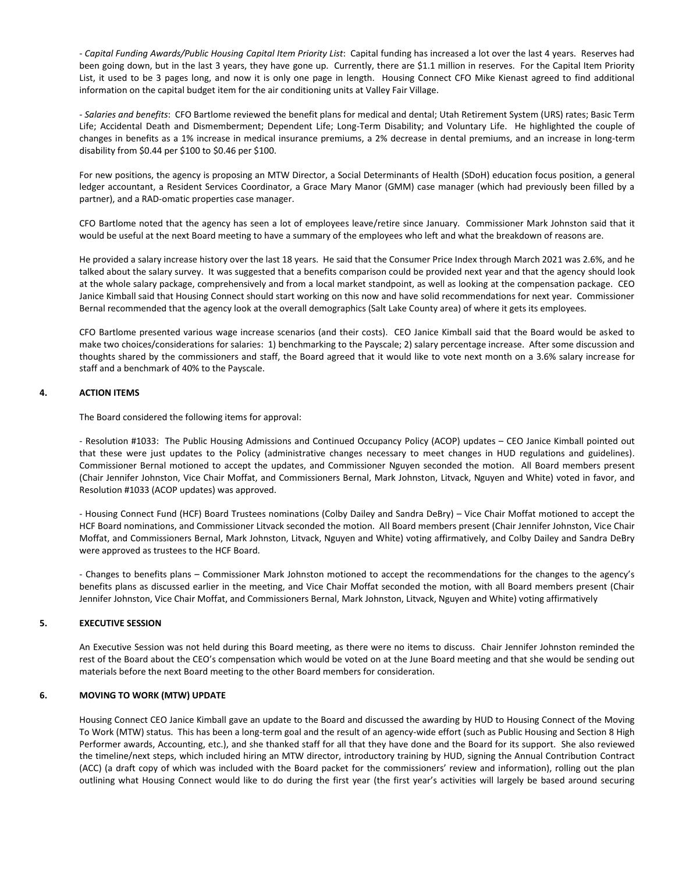*- Capital Funding Awards/Public Housing Capital Item Priority List*: Capital funding has increased a lot over the last 4 years. Reserves had been going down, but in the last 3 years, they have gone up. Currently, there are \$1.1 million in reserves. For the Capital Item Priority List, it used to be 3 pages long, and now it is only one page in length. Housing Connect CFO Mike Kienast agreed to find additional information on the capital budget item for the air conditioning units at Valley Fair Village.

*- Salaries and benefits*: CFO Bartlome reviewed the benefit plans for medical and dental; Utah Retirement System (URS) rates; Basic Term Life; Accidental Death and Dismemberment; Dependent Life; Long-Term Disability; and Voluntary Life. He highlighted the couple of changes in benefits as a 1% increase in medical insurance premiums, a 2% decrease in dental premiums, and an increase in long-term disability from \$0.44 per \$100 to \$0.46 per \$100.

For new positions, the agency is proposing an MTW Director, a Social Determinants of Health (SDoH) education focus position, a general ledger accountant, a Resident Services Coordinator, a Grace Mary Manor (GMM) case manager (which had previously been filled by a partner), and a RAD-omatic properties case manager.

CFO Bartlome noted that the agency has seen a lot of employees leave/retire since January. Commissioner Mark Johnston said that it would be useful at the next Board meeting to have a summary of the employees who left and what the breakdown of reasons are.

He provided a salary increase history over the last 18 years. He said that the Consumer Price Index through March 2021 was 2.6%, and he talked about the salary survey. It was suggested that a benefits comparison could be provided next year and that the agency should look at the whole salary package, comprehensively and from a local market standpoint, as well as looking at the compensation package. CEO Janice Kimball said that Housing Connect should start working on this now and have solid recommendations for next year. Commissioner Bernal recommended that the agency look at the overall demographics (Salt Lake County area) of where it gets its employees.

CFO Bartlome presented various wage increase scenarios (and their costs). CEO Janice Kimball said that the Board would be asked to make two choices/considerations for salaries: 1) benchmarking to the Payscale; 2) salary percentage increase. After some discussion and thoughts shared by the commissioners and staff, the Board agreed that it would like to vote next month on a 3.6% salary increase for staff and a benchmark of 40% to the Payscale.

## **4. ACTION ITEMS**

The Board considered the following items for approval:

- Resolution #1033: The Public Housing Admissions and Continued Occupancy Policy (ACOP) updates – CEO Janice Kimball pointed out that these were just updates to the Policy (administrative changes necessary to meet changes in HUD regulations and guidelines). Commissioner Bernal motioned to accept the updates, and Commissioner Nguyen seconded the motion. All Board members present (Chair Jennifer Johnston, Vice Chair Moffat, and Commissioners Bernal, Mark Johnston, Litvack, Nguyen and White) voted in favor, and Resolution #1033 (ACOP updates) was approved.

- Housing Connect Fund (HCF) Board Trustees nominations (Colby Dailey and Sandra DeBry) – Vice Chair Moffat motioned to accept the HCF Board nominations, and Commissioner Litvack seconded the motion. All Board members present (Chair Jennifer Johnston, Vice Chair Moffat, and Commissioners Bernal, Mark Johnston, Litvack, Nguyen and White) voting affirmatively, and Colby Dailey and Sandra DeBry were approved as trustees to the HCF Board.

- Changes to benefits plans – Commissioner Mark Johnston motioned to accept the recommendations for the changes to the agency's benefits plans as discussed earlier in the meeting, and Vice Chair Moffat seconded the motion, with all Board members present (Chair Jennifer Johnston, Vice Chair Moffat, and Commissioners Bernal, Mark Johnston, Litvack, Nguyen and White) voting affirmatively

### **5. EXECUTIVE SESSION**

An Executive Session was not held during this Board meeting, as there were no items to discuss. Chair Jennifer Johnston reminded the rest of the Board about the CEO's compensation which would be voted on at the June Board meeting and that she would be sending out materials before the next Board meeting to the other Board members for consideration.

#### **6. MOVING TO WORK (MTW) UPDATE**

Housing Connect CEO Janice Kimball gave an update to the Board and discussed the awarding by HUD to Housing Connect of the Moving To Work (MTW) status. This has been a long-term goal and the result of an agency-wide effort (such as Public Housing and Section 8 High Performer awards, Accounting, etc.), and she thanked staff for all that they have done and the Board for its support. She also reviewed the timeline/next steps, which included hiring an MTW director, introductory training by HUD, signing the Annual Contribution Contract (ACC) (a draft copy of which was included with the Board packet for the commissioners' review and information), rolling out the plan outlining what Housing Connect would like to do during the first year (the first year's activities will largely be based around securing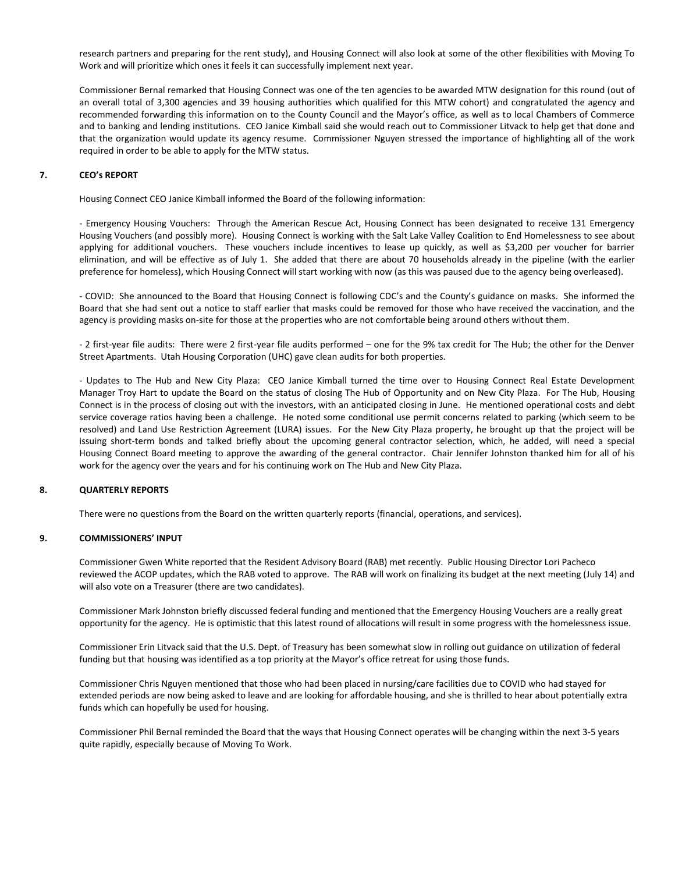research partners and preparing for the rent study), and Housing Connect will also look at some of the other flexibilities with Moving To Work and will prioritize which ones it feels it can successfully implement next year.

Commissioner Bernal remarked that Housing Connect was one of the ten agencies to be awarded MTW designation for this round (out of an overall total of 3,300 agencies and 39 housing authorities which qualified for this MTW cohort) and congratulated the agency and recommended forwarding this information on to the County Council and the Mayor's office, as well as to local Chambers of Commerce and to banking and lending institutions. CEO Janice Kimball said she would reach out to Commissioner Litvack to help get that done and that the organization would update its agency resume. Commissioner Nguyen stressed the importance of highlighting all of the work required in order to be able to apply for the MTW status.

#### **7. CEO's REPORT**

Housing Connect CEO Janice Kimball informed the Board of the following information:

- Emergency Housing Vouchers: Through the American Rescue Act, Housing Connect has been designated to receive 131 Emergency Housing Vouchers (and possibly more). Housing Connect is working with the Salt Lake Valley Coalition to End Homelessness to see about applying for additional vouchers. These vouchers include incentives to lease up quickly, as well as \$3,200 per voucher for barrier elimination, and will be effective as of July 1. She added that there are about 70 households already in the pipeline (with the earlier preference for homeless), which Housing Connect will start working with now (as this was paused due to the agency being overleased).

- COVID: She announced to the Board that Housing Connect is following CDC's and the County's guidance on masks. She informed the Board that she had sent out a notice to staff earlier that masks could be removed for those who have received the vaccination, and the agency is providing masks on-site for those at the properties who are not comfortable being around others without them.

- 2 first-year file audits: There were 2 first-year file audits performed – one for the 9% tax credit for The Hub; the other for the Denver Street Apartments. Utah Housing Corporation (UHC) gave clean audits for both properties.

- Updates to The Hub and New City Plaza: CEO Janice Kimball turned the time over to Housing Connect Real Estate Development Manager Troy Hart to update the Board on the status of closing The Hub of Opportunity and on New City Plaza. For The Hub, Housing Connect is in the process of closing out with the investors, with an anticipated closing in June. He mentioned operational costs and debt service coverage ratios having been a challenge. He noted some conditional use permit concerns related to parking (which seem to be resolved) and Land Use Restriction Agreement (LURA) issues. For the New City Plaza property, he brought up that the project will be issuing short-term bonds and talked briefly about the upcoming general contractor selection, which, he added, will need a special Housing Connect Board meeting to approve the awarding of the general contractor. Chair Jennifer Johnston thanked him for all of his work for the agency over the years and for his continuing work on The Hub and New City Plaza.

### **8. QUARTERLY REPORTS**

There were no questions from the Board on the written quarterly reports (financial, operations, and services).

#### **9. COMMISSIONERS' INPUT**

Commissioner Gwen White reported that the Resident Advisory Board (RAB) met recently. Public Housing Director Lori Pacheco reviewed the ACOP updates, which the RAB voted to approve. The RAB will work on finalizing its budget at the next meeting (July 14) and will also vote on a Treasurer (there are two candidates).

Commissioner Mark Johnston briefly discussed federal funding and mentioned that the Emergency Housing Vouchers are a really great opportunity for the agency. He is optimistic that this latest round of allocations will result in some progress with the homelessness issue.

Commissioner Erin Litvack said that the U.S. Dept. of Treasury has been somewhat slow in rolling out guidance on utilization of federal funding but that housing was identified as a top priority at the Mayor's office retreat for using those funds.

Commissioner Chris Nguyen mentioned that those who had been placed in nursing/care facilities due to COVID who had stayed for extended periods are now being asked to leave and are looking for affordable housing, and she is thrilled to hear about potentially extra funds which can hopefully be used for housing.

Commissioner Phil Bernal reminded the Board that the ways that Housing Connect operates will be changing within the next 3-5 years quite rapidly, especially because of Moving To Work.